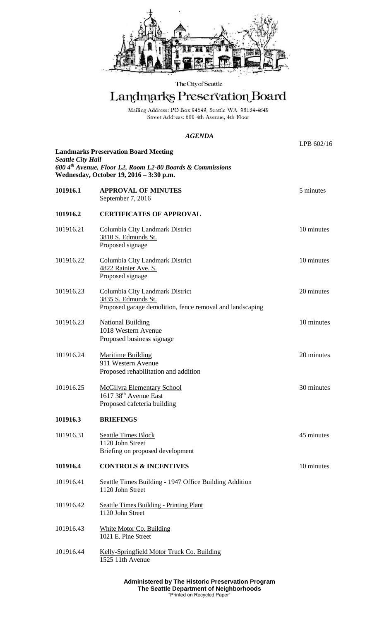

## The City of Seattle

# Landmarks Preservation Board

Mailing Address: PO Box 94649, Seattle WA 98124-4649<br>Street Address: 600 4th Avenue, 4th Floor

## *AGENDA*

| <b>Landmarks Preservation Board Meeting</b><br><b>Seattle City Hall</b>                                          |                                                                                                                     | LPB 602/16 |  |
|------------------------------------------------------------------------------------------------------------------|---------------------------------------------------------------------------------------------------------------------|------------|--|
| 600 4 <sup>th</sup> Avenue, Floor L2, Room L2-80 Boards & Commissions<br>Wednesday, October 19, 2016 - 3:30 p.m. |                                                                                                                     |            |  |
| 101916.1                                                                                                         | <b>APPROVAL OF MINUTES</b><br>September 7, 2016                                                                     | 5 minutes  |  |
| 101916.2                                                                                                         | <b>CERTIFICATES OF APPROVAL</b>                                                                                     |            |  |
| 101916.21                                                                                                        | Columbia City Landmark District<br>3810 S. Edmunds St.<br>Proposed signage                                          | 10 minutes |  |
| 101916.22                                                                                                        | Columbia City Landmark District<br>4822 Rainier Ave. S.<br>Proposed signage                                         | 10 minutes |  |
| 101916.23                                                                                                        | Columbia City Landmark District<br>3835 S. Edmunds St.<br>Proposed garage demolition, fence removal and landscaping | 20 minutes |  |
| 101916.23                                                                                                        | <b>National Building</b><br>1018 Western Avenue<br>Proposed business signage                                        | 10 minutes |  |
| 101916.24                                                                                                        | <b>Maritime Building</b><br>911 Western Avenue<br>Proposed rehabilitation and addition                              | 20 minutes |  |
| 101916.25                                                                                                        | <b>McGilvra Elementary School</b><br>1617 38 <sup>th</sup> Avenue East<br>Proposed cafeteria building               | 30 minutes |  |
| 101916.3                                                                                                         | <b>BRIEFINGS</b>                                                                                                    |            |  |
| 101916.31                                                                                                        | <b>Seattle Times Block</b><br>1120 John Street<br>Briefing on proposed development                                  | 45 minutes |  |
| 101916.4                                                                                                         | <b>CONTROLS &amp; INCENTIVES</b>                                                                                    | 10 minutes |  |
| 101916.41                                                                                                        | Seattle Times Building - 1947 Office Building Addition<br>1120 John Street                                          |            |  |
| 101916.42                                                                                                        | <b>Seattle Times Building - Printing Plant</b><br>1120 John Street                                                  |            |  |
| 101916.43                                                                                                        | <b>White Motor Co. Building</b><br>1021 E. Pine Street                                                              |            |  |
| 101916.44                                                                                                        | Kelly-Springfield Motor Truck Co. Building<br>1525 11th Avenue                                                      |            |  |